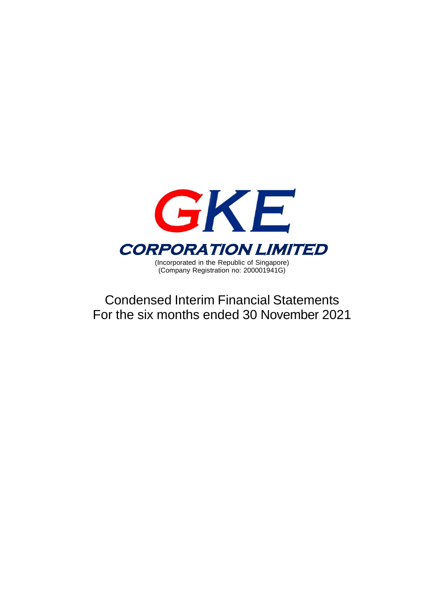

Condensed Interim Financial Statements For the six months ended 30 November 2021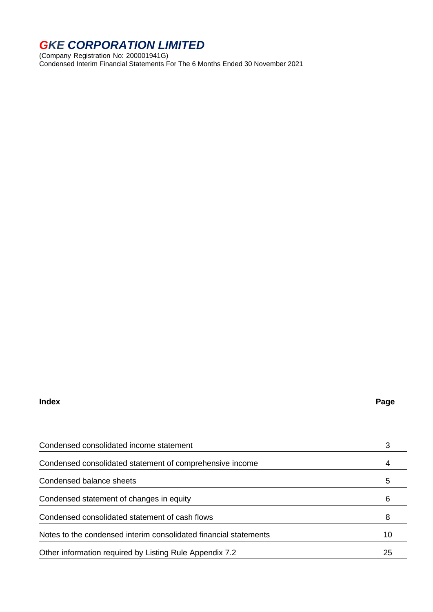(Company Registration No: 200001941G) Condensed Interim Financial Statements For The 6 Months Ended 30 November 2021

#### **Index Page**

| Condensed consolidated income statement                          |    |
|------------------------------------------------------------------|----|
| Condensed consolidated statement of comprehensive income         |    |
| Condensed balance sheets                                         | 5  |
| Condensed statement of changes in equity                         | 6  |
| Condensed consolidated statement of cash flows                   | 8  |
| Notes to the condensed interim consolidated financial statements | 10 |
| Other information required by Listing Rule Appendix 7.2          | 25 |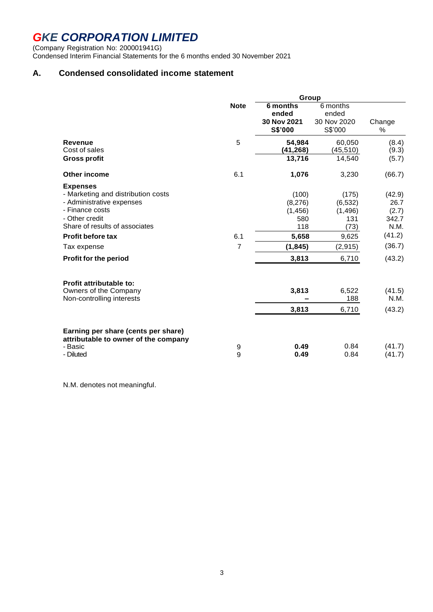(Company Registration No: 200001941G) Condensed Interim Financial Statements for the 6 months ended 30 November 2021

### **A. Condensed consolidated income statement**

|                                                                             | Group          |                        |                        |                |  |  |
|-----------------------------------------------------------------------------|----------------|------------------------|------------------------|----------------|--|--|
|                                                                             | <b>Note</b>    | 6 months<br>ended      | 6 months<br>ended      |                |  |  |
|                                                                             |                | 30 Nov 2021<br>S\$'000 | 30 Nov 2020<br>S\$'000 | Change<br>$\%$ |  |  |
| <b>Revenue</b><br>Cost of sales                                             | 5              | 54,984<br>(41, 268)    | 60,050<br>(45, 510)    | (8.4)<br>(9.3) |  |  |
| <b>Gross profit</b>                                                         |                | 13,716                 | 14,540                 | (5.7)          |  |  |
| Other income                                                                | 6.1            | 1,076                  | 3,230                  | (66.7)         |  |  |
| <b>Expenses</b><br>- Marketing and distribution costs                       |                | (100)                  | (175)                  | (42.9)         |  |  |
| - Administrative expenses<br>- Finance costs                                |                | (8,276)<br>(1, 456)    | (6, 532)<br>(1, 496)   | 26.7<br>(2.7)  |  |  |
| - Other credit<br>Share of results of associates                            |                | 580<br>118             | 131<br>(73)            | 342.7<br>N.M.  |  |  |
| <b>Profit before tax</b>                                                    | 6.1            | 5,658                  | 9,625                  | (41.2)         |  |  |
| Tax expense                                                                 | $\overline{7}$ | (1, 845)               | (2, 915)               | (36.7)         |  |  |
| Profit for the period                                                       |                | 3,813                  | 6,710                  | (43.2)         |  |  |
| Profit attributable to:                                                     |                |                        |                        |                |  |  |
| Owners of the Company<br>Non-controlling interests                          |                | 3,813                  | 6,522<br>188           | (41.5)<br>N.M. |  |  |
|                                                                             |                | 3,813                  | 6,710                  | (43.2)         |  |  |
| Earning per share (cents per share)<br>attributable to owner of the company |                |                        |                        |                |  |  |
| - Basic                                                                     | 9              | 0.49                   | 0.84                   | (41.7)         |  |  |
| - Diluted                                                                   | 9              | 0.49                   | 0.84                   | (41.7)         |  |  |

N.M. denotes not meaningful.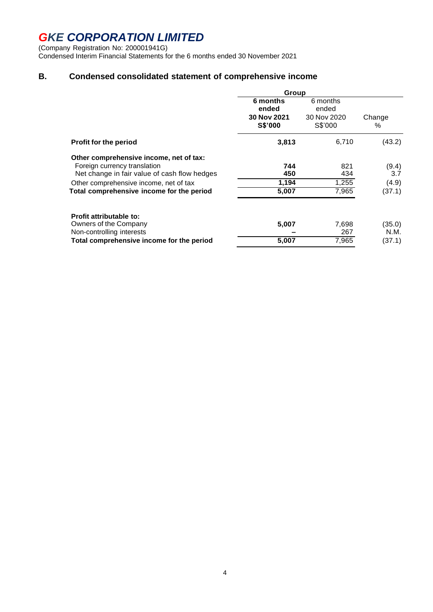(Company Registration No: 200001941G) Condensed Interim Financial Statements for the 6 months ended 30 November 2021

### **B. Condensed consolidated statement of comprehensive income**

|                                                                                                                         | Group                                       |                                             |                |  |  |
|-------------------------------------------------------------------------------------------------------------------------|---------------------------------------------|---------------------------------------------|----------------|--|--|
|                                                                                                                         | 6 months<br>ended<br>30 Nov 2021<br>S\$'000 | 6 months<br>ended<br>30 Nov 2020<br>S\$'000 | Change<br>℅    |  |  |
| <b>Profit for the period</b>                                                                                            | 3,813                                       | 6,710                                       | (43.2)         |  |  |
| Other comprehensive income, net of tax:<br>Foreign currency translation<br>Net change in fair value of cash flow hedges | 744<br>450                                  | 821<br>434                                  | (9.4)<br>3.7   |  |  |
| Other comprehensive income, net of tax                                                                                  | 1,194                                       | 1,255                                       | (4.9)          |  |  |
| Total comprehensive income for the period                                                                               | 5,007                                       | 7,965                                       | (37.1)         |  |  |
| Profit attributable to:<br>Owners of the Company<br>Non-controlling interests                                           | 5,007                                       | 7,698<br>267                                | (35.0)<br>N.M. |  |  |
| Total comprehensive income for the period                                                                               | 5,007                                       | 7,965                                       | (37.1)         |  |  |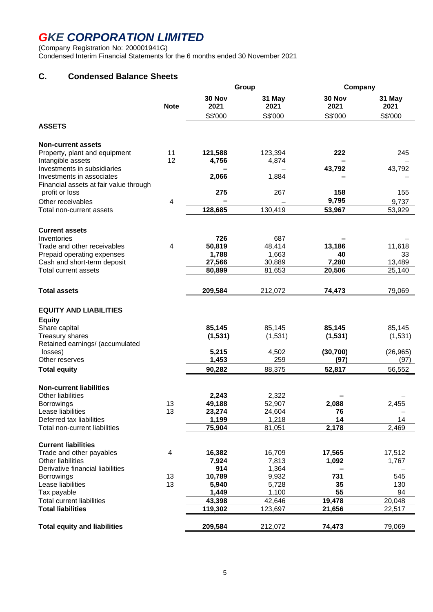(Company Registration No: 200001941G) Condensed Interim Financial Statements for the 6 months ended 30 November 2021

### **C. Condensed Balance Sheets**

|                                                            |                |                 | Group           | Company        |                |  |
|------------------------------------------------------------|----------------|-----------------|-----------------|----------------|----------------|--|
|                                                            | <b>Note</b>    | 30 Nov<br>2021  | 31 May<br>2021  | 30 Nov<br>2021 | 31 May<br>2021 |  |
|                                                            |                | S\$'000         | S\$'000         | S\$'000        | S\$'000        |  |
| <b>ASSETS</b>                                              |                |                 |                 |                |                |  |
| <b>Non-current assets</b>                                  |                |                 |                 |                |                |  |
| Property, plant and equipment                              | 11             | 121,588         | 123,394         | 222            | 245            |  |
| Intangible assets                                          | 12             | 4,756           | 4,874           |                |                |  |
| Investments in subsidiaries<br>Investments in associates   |                | 2,066           | 1,884           | 43,792         | 43,792         |  |
| Financial assets at fair value through                     |                |                 |                 |                |                |  |
| profit or loss                                             |                | 275             | 267             | 158            | 155            |  |
| Other receivables                                          | 4              |                 |                 | 9,795          | 9,737          |  |
| Total non-current assets                                   |                | 128,685         | 130,419         | 53,967         | 53,929         |  |
|                                                            |                |                 |                 |                |                |  |
| <b>Current assets</b><br>Inventories                       |                | 726             | 687             |                |                |  |
| Trade and other receivables                                | $\overline{4}$ | 50,819          | 48,414          | 13,186         | 11,618         |  |
| Prepaid operating expenses                                 |                | 1,788           | 1,663           | 40             | 33             |  |
| Cash and short-term deposit                                |                | 27,566          | 30,889          | 7,280          | 13,489         |  |
| <b>Total current assets</b>                                |                | 80,899          | 81,653          | 20,506         | 25,140         |  |
| <b>Total assets</b>                                        |                | 209,584         | 212,072         | 74,473         | 79,069         |  |
|                                                            |                |                 |                 |                |                |  |
| <b>EQUITY AND LIABILITIES</b>                              |                |                 |                 |                |                |  |
| <b>Equity</b>                                              |                |                 |                 |                |                |  |
| Share capital                                              |                | 85,145          | 85,145          | 85,145         | 85,145         |  |
| <b>Treasury shares</b><br>Retained earnings/ (accumulated  |                | (1, 531)        | (1,531)         | (1,531)        | (1,531)        |  |
| losses)                                                    |                | 5,215           | 4,502           | (30, 700)      | (26, 965)      |  |
| Other reserves                                             |                | 1,453           | 259             | (97)           | (97)           |  |
| <b>Total equity</b>                                        |                | 90,282          | 88,375          | 52,817         | 56,552         |  |
|                                                            |                |                 |                 |                |                |  |
| <b>Non-current liabilities</b><br><b>Other liabilities</b> |                | 2,243           | 2,322           |                |                |  |
| <b>Borrowings</b>                                          | 13             | 49,188          | 52,907          | 2,088          | 2,455          |  |
| Lease liabilities                                          | 13             | 23,274          | 24,604          | 76             |                |  |
| Deferred tax liabilities                                   |                | 1,199           | 1,218           | 14             | 14             |  |
| Total non-current liabilities                              |                | 75,904          | 81,051          | 2,178          | 2,469          |  |
| <b>Current liabilities</b>                                 |                |                 |                 |                |                |  |
| Trade and other payables                                   | 4              | 16,382          | 16,709          | 17,565         | 17,512         |  |
| <b>Other liabilities</b>                                   |                | 7,924           | 7,813           | 1,092          | 1,767          |  |
| Derivative financial liabilities                           |                | 914             | 1,364           |                |                |  |
| <b>Borrowings</b>                                          | 13             | 10,789          | 9,932           | 731            | 545            |  |
| Lease liabilities                                          | 13             | 5,940           | 5,728           | 35             | 130            |  |
| Tax payable<br><b>Total current liabilities</b>            |                | 1,449<br>43,398 | 1,100<br>42,646 | 55<br>19,478   | 94<br>20,048   |  |
| <b>Total liabilities</b>                                   |                | 119,302         | 123,697         | 21,656         | 22,517         |  |
|                                                            |                |                 |                 |                |                |  |
| <b>Total equity and liabilities</b>                        |                | 209,584         | 212,072         | 74,473         | 79,069         |  |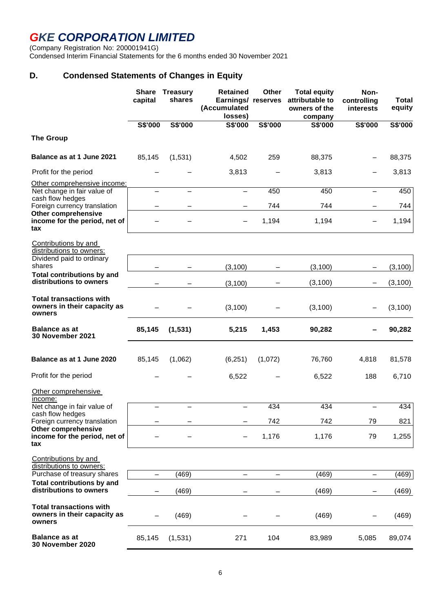(Company Registration No: 200001941G)

Condensed Interim Financial Statements for the 6 months ended 30 November 2021

### **D. Condensed Statements of Changes in Equity**

|                                                                         | <b>Share</b><br>capital | <b>Treasury</b><br>shares | <b>Retained</b><br>Earnings/ reserves<br>(Accumulated<br>losses) | Other   | <b>Total equity</b><br>attributable to<br>owners of the<br>company | Non-<br>controlling<br>interests | <b>Total</b><br>equity |
|-------------------------------------------------------------------------|-------------------------|---------------------------|------------------------------------------------------------------|---------|--------------------------------------------------------------------|----------------------------------|------------------------|
|                                                                         | S\$'000                 | S\$'000                   | S\$'000                                                          | S\$'000 | S\$'000                                                            | S\$'000                          | S\$'000                |
| <b>The Group</b>                                                        |                         |                           |                                                                  |         |                                                                    |                                  |                        |
| Balance as at 1 June 2021                                               | 85,145                  | (1,531)                   | 4,502                                                            | 259     | 88,375                                                             |                                  | 88,375                 |
| Profit for the period                                                   |                         |                           | 3,813                                                            |         | 3,813                                                              |                                  | 3,813                  |
| Other comprehensive income:                                             |                         |                           |                                                                  |         |                                                                    |                                  |                        |
| Net change in fair value of<br>cash flow hedges                         |                         |                           |                                                                  | 450     | 450                                                                |                                  | 450                    |
| Foreign currency translation                                            |                         |                           |                                                                  | 744     | 744                                                                |                                  | 744                    |
| <b>Other comprehensive</b><br>income for the period, net of<br>tax      |                         |                           |                                                                  | 1,194   | 1,194                                                              |                                  | 1,194                  |
| Contributions by and<br>distributions to owners:                        |                         |                           |                                                                  |         |                                                                    |                                  |                        |
| Dividend paid to ordinary<br>shares                                     |                         |                           | (3, 100)                                                         |         | (3, 100)                                                           |                                  | (3, 100)               |
| <b>Total contributions by and</b><br>distributions to owners            |                         |                           | (3, 100)                                                         |         | (3, 100)                                                           |                                  | (3, 100)               |
| <b>Total transactions with</b><br>owners in their capacity as<br>owners |                         |                           | (3, 100)                                                         |         | (3, 100)                                                           |                                  | (3, 100)               |
| <b>Balance as at</b><br><b>30 November 2021</b>                         | 85,145                  | (1, 531)                  | 5,215                                                            | 1,453   | 90,282                                                             |                                  | 90,282                 |
| Balance as at 1 June 2020                                               | 85,145                  | (1,062)                   | (6, 251)                                                         | (1,072) | 76,760                                                             | 4,818                            | 81,578                 |
| Profit for the period                                                   |                         |                           | 6,522                                                            |         | 6,522                                                              | 188                              | 6,710                  |
| Other comprehensive<br>income:                                          |                         |                           |                                                                  |         |                                                                    |                                  |                        |
| Net change in fair value of                                             |                         |                           |                                                                  | 434     | 434                                                                |                                  | 434                    |
| cash flow hedges<br>Foreign currency translation                        |                         |                           |                                                                  | 742     | 742                                                                | 79                               | 821                    |
| <b>Other comprehensive</b><br>income for the period, net of<br>tax      |                         |                           |                                                                  | 1,176   | 1,176                                                              | 79                               | 1,255                  |
| Contributions by and<br>distributions to owners:                        |                         |                           |                                                                  |         |                                                                    |                                  |                        |
| Purchase of treasury shares                                             |                         | (469)                     |                                                                  |         | (469)                                                              |                                  | (469)                  |
| <b>Total contributions by and</b><br>distributions to owners            |                         | (469)                     |                                                                  |         | (469)                                                              |                                  | (469)                  |
| <b>Total transactions with</b><br>owners in their capacity as<br>owners |                         | (469)                     |                                                                  |         | (469)                                                              |                                  | (469)                  |
| <b>Balance as at</b><br>30 November 2020                                | 85,145                  | (1,531)                   | 271                                                              | 104     | 83,989                                                             | 5,085                            | 89,074                 |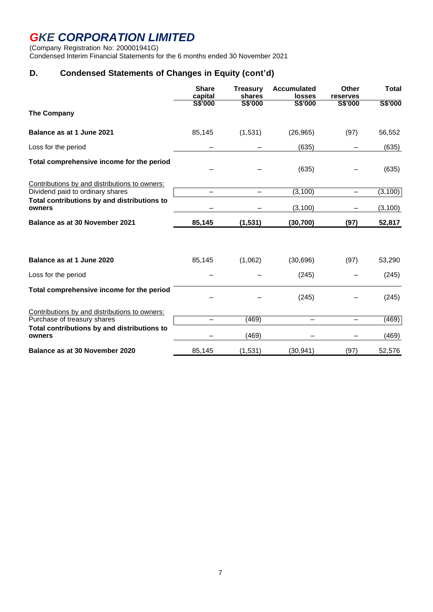(Company Registration No: 200001941G)

Condensed Interim Financial Statements for the 6 months ended 30 November 2021

### **D. Condensed Statements of Changes in Equity (cont'd)**

|                                                                                   | <b>Share</b><br>capital  | <b>Treasury</b><br>shares | <b>Accumulated</b><br><b>losses</b> | Other<br>reserves        | <b>Total</b> |
|-----------------------------------------------------------------------------------|--------------------------|---------------------------|-------------------------------------|--------------------------|--------------|
| The Company                                                                       | <b>S\$'000</b>           | <b>S\$'000</b>            | S\$'000                             | S\$'000                  | S\$'000      |
| Balance as at 1 June 2021                                                         | 85,145                   | (1,531)                   | (26, 965)                           | (97)                     | 56,552       |
| Loss for the period                                                               |                          |                           | (635)                               |                          | (635)        |
| Total comprehensive income for the period                                         |                          |                           | (635)                               |                          | (635)        |
| Contributions by and distributions to owners:<br>Dividend paid to ordinary shares |                          |                           | (3, 100)                            | $\equiv$                 | (3, 100)     |
| Total contributions by and distributions to<br>owners                             |                          |                           | (3, 100)                            |                          | (3, 100)     |
| Balance as at 30 November 2021                                                    | 85,145                   | (1, 531)                  | (30, 700)                           | (97)                     | 52,817       |
| Balance as at 1 June 2020                                                         | 85,145                   | (1,062)                   | (30, 696)                           | (97)                     | 53,290       |
| Loss for the period                                                               |                          |                           | (245)                               |                          | (245)        |
| Total comprehensive income for the period                                         |                          |                           | (245)                               |                          | (245)        |
| Contributions by and distributions to owners:<br>Purchase of treasury shares      | $\overline{\phantom{0}}$ | (469)                     |                                     | $\overline{\phantom{0}}$ | (469)        |
| Total contributions by and distributions to<br>owners                             |                          | (469)                     |                                     |                          | (469)        |
| Balance as at 30 November 2020                                                    | 85,145                   | (1,531)                   | (30, 941)                           | (97)                     | 52,576       |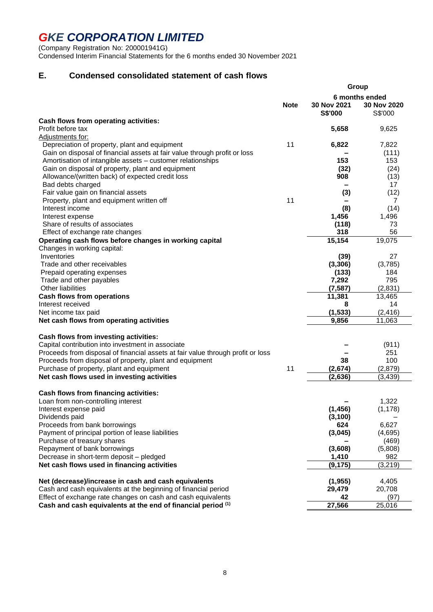(Company Registration No: 200001941G) Condensed Interim Financial Statements for the 6 months ended 30 November 2021

### **E. Condensed consolidated statement of cash flows**

|                                                                                 |             | Group                  |                                          |  |  |
|---------------------------------------------------------------------------------|-------------|------------------------|------------------------------------------|--|--|
| Cash flows from operating activities:                                           | <b>Note</b> | 30 Nov 2021<br>S\$'000 | 6 months ended<br>30 Nov 2020<br>S\$'000 |  |  |
| Profit before tax                                                               |             | 5,658                  | 9,625                                    |  |  |
| Adjustments for:                                                                |             |                        |                                          |  |  |
| Depreciation of property, plant and equipment                                   | 11          | 6,822                  | 7,822                                    |  |  |
| Gain on disposal of financial assets at fair value through profit or loss       |             |                        | (111)                                    |  |  |
| Amortisation of intangible assets – customer relationships                      |             | 153                    | 153                                      |  |  |
| Gain on disposal of property, plant and equipment                               |             | (32)                   | (24)                                     |  |  |
| Allowance/(written back) of expected credit loss                                |             | 908                    | (13)                                     |  |  |
| Bad debts charged                                                               |             |                        | 17                                       |  |  |
| Fair value gain on financial assets                                             |             | (3)                    | (12)                                     |  |  |
| Property, plant and equipment written off                                       | 11          |                        | 7                                        |  |  |
| Interest income                                                                 |             | (8)                    | (14)                                     |  |  |
| Interest expense                                                                |             | 1,456                  | 1,496                                    |  |  |
| Share of results of associates                                                  |             | (118)                  | 73                                       |  |  |
| Effect of exchange rate changes                                                 |             | 318                    | 56                                       |  |  |
| Operating cash flows before changes in working capital                          |             | 15,154                 | 19,075                                   |  |  |
| Changes in working capital:                                                     |             |                        |                                          |  |  |
| Inventories                                                                     |             | (39)                   | 27                                       |  |  |
| Trade and other receivables                                                     |             | (3, 306)               | (3,785)                                  |  |  |
| Prepaid operating expenses                                                      |             | (133)                  | 184                                      |  |  |
| Trade and other payables<br><b>Other liabilities</b>                            |             | 7,292<br>(7, 587)      | 795                                      |  |  |
|                                                                                 |             |                        | (2,831)                                  |  |  |
| <b>Cash flows from operations</b><br>Interest received                          |             | 11,381<br>8            | 13,465<br>14                             |  |  |
| Net income tax paid                                                             |             | (1, 533)               | (2, 416)                                 |  |  |
| Net cash flows from operating activities                                        |             | 9,856                  | 11,063                                   |  |  |
|                                                                                 |             |                        |                                          |  |  |
| Cash flows from investing activities:                                           |             |                        |                                          |  |  |
| Capital contribution into investment in associate                               |             |                        | (911)                                    |  |  |
| Proceeds from disposal of financial assets at fair value through profit or loss |             |                        | 251                                      |  |  |
| Proceeds from disposal of property, plant and equipment                         |             | 38                     | 100                                      |  |  |
| Purchase of property, plant and equipment                                       | 11          | (2,674)                | (2,879)                                  |  |  |
| Net cash flows used in investing activities                                     |             | (2,636)                | (3, 439)                                 |  |  |
|                                                                                 |             |                        |                                          |  |  |
| Cash flows from financing activities:                                           |             |                        |                                          |  |  |
| Loan from non-controlling interest                                              |             |                        | 1,322                                    |  |  |
| Interest expense paid                                                           |             | (1, 456)<br>(3, 100)   | (1, 178)                                 |  |  |
| Dividends paid<br>Proceeds from bank borrowings                                 |             | 624                    | 6,627                                    |  |  |
| Payment of principal portion of lease liabilities                               |             | (3,045)                | (4,695)                                  |  |  |
| Purchase of treasury shares                                                     |             |                        | (469)                                    |  |  |
| Repayment of bank borrowings                                                    |             | (3,608)                | (5,808)                                  |  |  |
| Decrease in short-term deposit - pledged                                        |             | 1,410                  | 982                                      |  |  |
| Net cash flows used in financing activities                                     |             | (9, 175)               | (3, 219)                                 |  |  |
|                                                                                 |             |                        |                                          |  |  |
| Net (decrease)/increase in cash and cash equivalents                            |             | (1, 955)               | 4,405                                    |  |  |
| Cash and cash equivalents at the beginning of financial period                  |             | 29,479                 | 20,708                                   |  |  |
| Effect of exchange rate changes on cash and cash equivalents                    |             | 42                     | (97)                                     |  |  |
| Cash and cash equivalents at the end of financial period (1)                    |             | 27,566                 | 25,016                                   |  |  |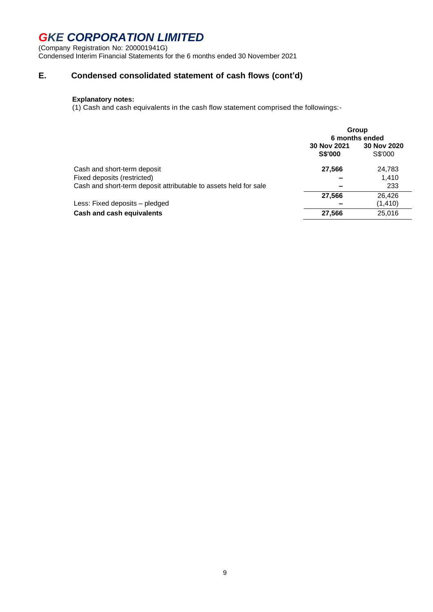(Company Registration No: 200001941G) Condensed Interim Financial Statements for the 6 months ended 30 November 2021

### **E. Condensed consolidated statement of cash flows (cont'd)**

### **Explanatory notes:**

(1) Cash and cash equivalents in the cash flow statement comprised the followings:-

|                                                                  | Group<br>6 months ended       |                        |  |
|------------------------------------------------------------------|-------------------------------|------------------------|--|
|                                                                  | 30 Nov 2021<br><b>S\$'000</b> | 30 Nov 2020<br>S\$'000 |  |
| Cash and short-term deposit                                      | 27,566                        | 24,783                 |  |
| Fixed deposits (restricted)                                      |                               | 1.410                  |  |
| Cash and short-term deposit attributable to assets held for sale |                               | 233                    |  |
|                                                                  | 27,566                        | 26,426                 |  |
| Less: Fixed deposits – pledged                                   |                               | (1, 410)               |  |
| <b>Cash and cash equivalents</b>                                 | 27,566                        | 25,016                 |  |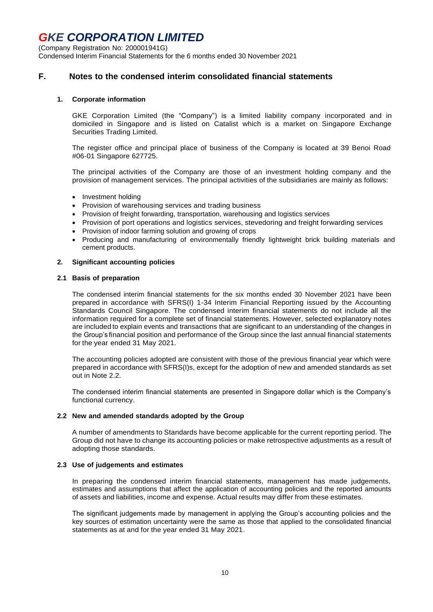(Company Registration No: 200001941G)

Condensed Interim Financial Statements for the 6 months ended 30 November 2021

#### **F. Notes to the condensed interim consolidated financial statements**

#### **1. Corporate information**

GKE Corporation Limited (the "Company") is a limited liability company incorporated and in domiciled in Singapore and is listed on Catalist which is a market on Singapore Exchange Securities Trading Limited.

The register office and principal place of business of the Company is located at 39 Benoi Road #06-01 Singapore 627725.

The principal activities of the Company are those of an investment holding company and the provision of management services. The principal activities of the subsidiaries are mainly as follows:

- Investment holding
- Provision of warehousing services and trading business
- Provision of freight forwarding, transportation, warehousing and logistics services
- Provision of port operations and logistics services, stevedoring and freight forwarding services
- Provision of indoor farming solution and growing of crops
- Producing and manufacturing of environmentally friendly lightweight brick building materials and cement products.

#### **2. Significant accounting policies**

#### **2.1 Basis of preparation**

The condensed interim financial statements for the six months ended 30 November 2021 have been prepared in accordance with SFRS(I) 1-34 Interim Financial Reporting issued by the Accounting Standards Council Singapore. The condensed interim financial statements do not include all the information required for a complete set of financial statements. However, selected explanatory notes are included to explain events and transactions that are significant to an understanding of the changes in the Group's financial position and performance of the Group since the last annual financial statements for the year ended 31 May 2021.

The accounting policies adopted are consistent with those of the previous financial year which were prepared in accordance with SFRS(I)s, except for the adoption of new and amended standards as set out in Note 2.2.

The condensed interim financial statements are presented in Singapore dollar which is the Company's functional currency.

#### **2.2 New and amended standards adopted by the Group**

A number of amendments to Standards have become applicable for the current reporting period. The Group did not have to change its accounting policies or make retrospective adjustments as a result of adopting those standards.

#### **2.3 Use of judgements and estimates**

In preparing the condensed interim financial statements, management has made judgements, estimates and assumptions that affect the application of accounting policies and the reported amounts of assets and liabilities, income and expense. Actual results may differ from these estimates.

The significant judgements made by management in applying the Group's accounting policies and the key sources of estimation uncertainty were the same as those that applied to the consolidated financial statements as at and for the year ended 31 May 2021.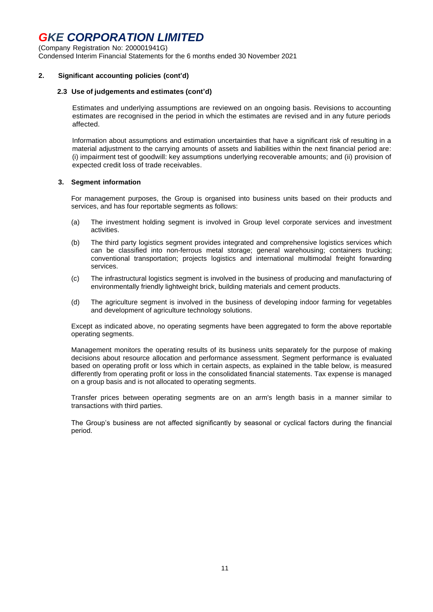(Company Registration No: 200001941G) Condensed Interim Financial Statements for the 6 months ended 30 November 2021

#### **2. Significant accounting policies (cont'd)**

#### **2.3 Use of judgements and estimates (cont'd)**

Estimates and underlying assumptions are reviewed on an ongoing basis. Revisions to accounting estimates are recognised in the period in which the estimates are revised and in any future periods affected.

Information about assumptions and estimation uncertainties that have a significant risk of resulting in a material adjustment to the carrying amounts of assets and liabilities within the next financial period are: (i) impairment test of goodwill: key assumptions underlying recoverable amounts; and (ii) provision of expected credit loss of trade receivables.

#### **3. Segment information**

For management purposes, the Group is organised into business units based on their products and services, and has four reportable segments as follows:

- (a) The investment holding segment is involved in Group level corporate services and investment activities.
- (b) The third party logistics segment provides integrated and comprehensive logistics services which can be classified into non-ferrous metal storage; general warehousing; containers trucking; conventional transportation; projects logistics and international multimodal freight forwarding services.
- (c) The infrastructural logistics segment is involved in the business of producing and manufacturing of environmentally friendly lightweight brick, building materials and cement products.
- (d) The agriculture segment is involved in the business of developing indoor farming for vegetables and development of agriculture technology solutions.

Except as indicated above, no operating segments have been aggregated to form the above reportable operating segments.

Management monitors the operating results of its business units separately for the purpose of making decisions about resource allocation and performance assessment. Segment performance is evaluated based on operating profit or loss which in certain aspects, as explained in the table below, is measured differently from operating profit or loss in the consolidated financial statements. Tax expense is managed on a group basis and is not allocated to operating segments.

Transfer prices between operating segments are on an arm's length basis in a manner similar to transactions with third parties.

The Group's business are not affected significantly by seasonal or cyclical factors during the financial period.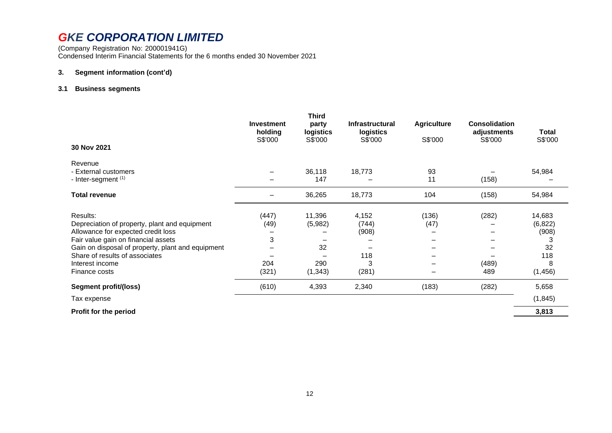(Company Registration No: 200001941G) Condensed Interim Financial Statements for the 6 months ended 30 November 2021

#### **3. Segment information (cont'd)**

#### **3.1 Business segments**

| 30 Nov 2021                                                                         | <b>Investment</b><br>holding<br>S\$'000 | <b>Third</b><br>party<br>logistics<br>S\$'000 | <b>Infrastructural</b><br>logistics<br>S\$'000 | <b>Agriculture</b><br>S\$'000 | <b>Consolidation</b><br>adjustments<br>S\$'000 | Total<br>S\$'000 |
|-------------------------------------------------------------------------------------|-----------------------------------------|-----------------------------------------------|------------------------------------------------|-------------------------------|------------------------------------------------|------------------|
|                                                                                     |                                         |                                               |                                                |                               |                                                |                  |
| Revenue                                                                             |                                         |                                               |                                                |                               |                                                |                  |
| - External customers                                                                |                                         | 36,118                                        | 18,773                                         | 93                            |                                                | 54,984           |
| - Inter-segment <sup>(1)</sup>                                                      |                                         | 147                                           |                                                | 11                            | (158)                                          |                  |
| Total revenue                                                                       |                                         | 36,265                                        | 18,773                                         | 104                           | (158)                                          | 54,984           |
|                                                                                     |                                         |                                               |                                                |                               |                                                |                  |
| Results:                                                                            | (447)                                   | 11,396                                        | 4,152                                          | (136)                         | (282)                                          | 14,683           |
| Depreciation of property, plant and equipment                                       | (49)                                    | (5,982)                                       | (744)                                          | (47)                          |                                                | (6, 822)         |
| Allowance for expected credit loss                                                  |                                         |                                               | (908)                                          |                               |                                                | (908)            |
| Fair value gain on financial assets                                                 | 3                                       | 32                                            |                                                |                               |                                                | 3<br>32          |
| Gain on disposal of property, plant and equipment<br>Share of results of associates |                                         |                                               | 118                                            |                               |                                                | 118              |
| Interest income                                                                     | 204                                     | 290                                           | 3                                              |                               | (489)                                          | 8                |
| Finance costs                                                                       | (321)                                   | (1, 343)                                      |                                                |                               | 489                                            | (1, 456)         |
|                                                                                     |                                         |                                               | (281)                                          |                               |                                                |                  |
| Segment profit/(loss)                                                               | (610)                                   | 4,393                                         | 2,340                                          | (183)                         | (282)                                          | 5,658            |
| Tax expense                                                                         |                                         |                                               |                                                |                               |                                                | (1, 845)         |
| <b>Profit for the period</b>                                                        |                                         |                                               |                                                |                               |                                                | 3,813            |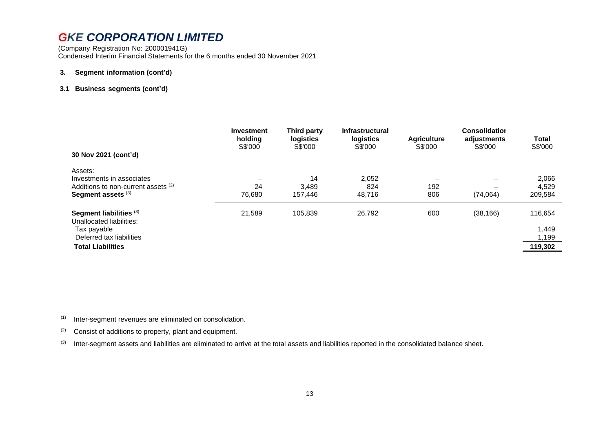(Company Registration No: 200001941G) Condensed Interim Financial Statements for the 6 months ended 30 November 2021

#### **3. Segment information (cont'd)**

#### **3.1 Business segments (cont'd)**

| 30 Nov 2021 (cont'd)                                                                                                       | <b>Investment</b><br>holding<br>S\$'000 | Third party<br>logistics<br>S\$'000 | <b>Infrastructural</b><br>logistics<br>S\$'000 | <b>Agriculture</b><br>S\$'000 | <b>Consolidation</b><br>adjustments<br>S\$'000 | <b>Total</b><br>S\$'000              |
|----------------------------------------------------------------------------------------------------------------------------|-----------------------------------------|-------------------------------------|------------------------------------------------|-------------------------------|------------------------------------------------|--------------------------------------|
| Assets:<br>Investments in associates<br>Additions to non-current assets (2)<br>Segment assets (3)                          | 24<br>76.680                            | 14<br>3,489<br>157.446              | 2.052<br>824<br>48.716                         | 192<br>806                    | (74, 064)                                      | 2,066<br>4,529<br>209,584            |
| Segment liabilities (3)<br>Unallocated liabilities:<br>Tax payable<br>Deferred tax liabilities<br><b>Total Liabilities</b> | 21,589                                  | 105,839                             | 26,792                                         | 600                           | (38, 166)                                      | 116,654<br>1,449<br>1,199<br>119,302 |

(1) Inter-segment revenues are eliminated on consolidation.

 $(2)$  Consist of additions to property, plant and equipment.

(3) Inter-segment assets and liabilities are eliminated to arrive at the total assets and liabilities reported in the consolidated balance sheet.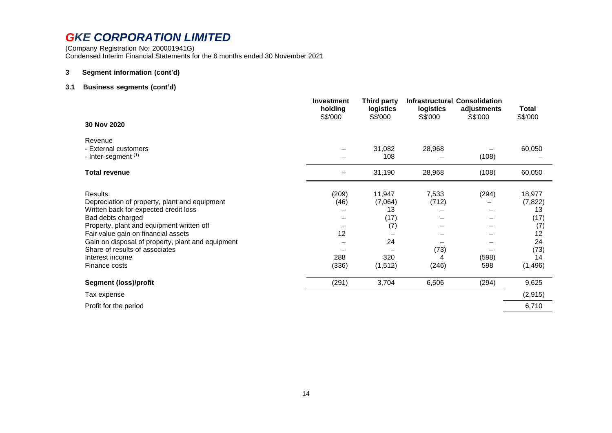(Company Registration No: 200001941G) Condensed Interim Financial Statements for the 6 months ended 30 November 2021

#### **3 Segment information (cont'd)**

#### **3.1 Business segments (cont'd)**

|                                                                                                                                                                                                                                                                                                                                        | <b>Investment</b><br>holding<br>S\$'000 | <b>Third party</b><br>logistics<br>S\$'000                     | logistics<br>S\$'000                 | <b>Infrastructural Consolidation</b><br>adjustments<br>S\$'000 | Total<br>S\$'000                                                              |
|----------------------------------------------------------------------------------------------------------------------------------------------------------------------------------------------------------------------------------------------------------------------------------------------------------------------------------------|-----------------------------------------|----------------------------------------------------------------|--------------------------------------|----------------------------------------------------------------|-------------------------------------------------------------------------------|
| 30 Nov 2020                                                                                                                                                                                                                                                                                                                            |                                         |                                                                |                                      |                                                                |                                                                               |
| Revenue<br>- External customers<br>- Inter-segment (1)                                                                                                                                                                                                                                                                                 |                                         | 31,082<br>108                                                  | 28,968                               | (108)                                                          | 60,050                                                                        |
| <b>Total revenue</b>                                                                                                                                                                                                                                                                                                                   |                                         | 31,190                                                         | 28,968                               | (108)                                                          | 60,050                                                                        |
| Results:<br>Depreciation of property, plant and equipment<br>Written back for expected credit loss<br>Bad debts charged<br>Property, plant and equipment written off<br>Fair value gain on financial assets<br>Gain on disposal of property, plant and equipment<br>Share of results of associates<br>Interest income<br>Finance costs | (209)<br>(46)<br>12<br>288<br>(336)     | 11,947<br>(7,064)<br>13<br>(17)<br>(7)<br>24<br>320<br>(1,512) | 7,533<br>(712)<br>(73)<br>4<br>(246) | (294)<br>(598)<br>598                                          | 18,977<br>(7, 822)<br>13<br>(17)<br>(7)<br>12<br>24<br>(73)<br>14<br>(1, 496) |
| <b>Segment (loss)/profit</b>                                                                                                                                                                                                                                                                                                           | (291)                                   | 3,704                                                          | 6,506                                | (294)                                                          | 9,625                                                                         |
| Tax expense                                                                                                                                                                                                                                                                                                                            |                                         |                                                                |                                      |                                                                | (2, 915)                                                                      |
| Profit for the period                                                                                                                                                                                                                                                                                                                  |                                         |                                                                |                                      |                                                                | 6,710                                                                         |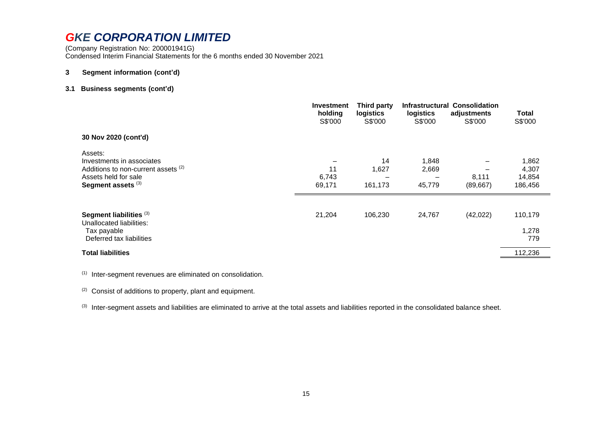(Company Registration No: 200001941G) Condensed Interim Financial Statements for the 6 months ended 30 November 2021

#### **3 Segment information (cont'd)**

#### **3.1 Business segments (cont'd)**

|                                                                                                                           | <b>Investment</b><br>holding<br>S\$'000 | Third party<br>logistics<br>S\$'000 | logistics<br>S\$'000     | <b>Infrastructural Consolidation</b><br>adjustments<br>S\$'000 | Total<br>S\$'000                    |
|---------------------------------------------------------------------------------------------------------------------------|-----------------------------------------|-------------------------------------|--------------------------|----------------------------------------------------------------|-------------------------------------|
| 30 Nov 2020 (cont'd)                                                                                                      |                                         |                                     |                          |                                                                |                                     |
| Assets:<br>Investments in associates<br>Additions to non-current assets (2)<br>Assets held for sale<br>Segment assets (3) | 11<br>6,743<br>69,171                   | 14<br>1,627<br>161,173              | 1,848<br>2,669<br>45,779 | 8,111<br>(89, 667)                                             | 1,862<br>4,307<br>14,854<br>186,456 |
| Segment liabilities (3)<br>Unallocated liabilities:<br>Tax payable<br>Deferred tax liabilities                            | 21,204                                  | 106,230                             | 24,767                   | (42, 022)                                                      | 110,179<br>1,278<br>779             |
| <b>Total liabilities</b>                                                                                                  |                                         |                                     |                          |                                                                | 112,236                             |

(1) Inter-segment revenues are eliminated on consolidation.

(2) Consist of additions to property, plant and equipment.

(3) Inter-segment assets and liabilities are eliminated to arrive at the total assets and liabilities reported in the consolidated balance sheet.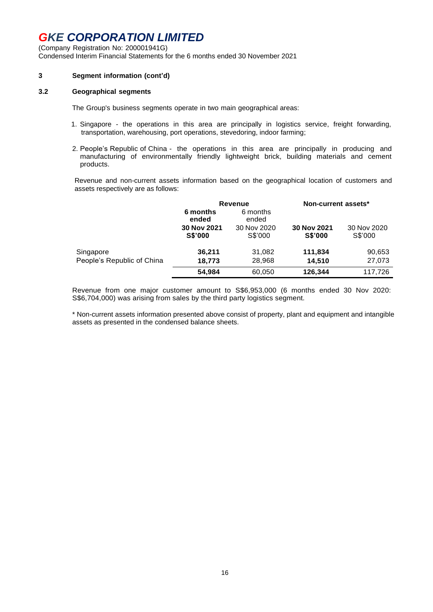(Company Registration No: 200001941G) Condensed Interim Financial Statements for the 6 months ended 30 November 2021

#### **3 Segment information (cont'd)**

#### **3.2 Geographical segments**

The Group's business segments operate in two main geographical areas:

- 1. Singapore the operations in this area are principally in logistics service, freight forwarding, transportation, warehousing, port operations, stevedoring, indoor farming;
- 2. People's Republic of China the operations in this area are principally in producing and manufacturing of environmentally friendly lightweight brick, building materials and cement products.

Revenue and non-current assets information based on the geographical location of customers and assets respectively are as follows:

|                            | Revenue                       |                        | Non-current assets*           |                        |  |
|----------------------------|-------------------------------|------------------------|-------------------------------|------------------------|--|
|                            | 6 months<br>ended             | 6 months<br>ended      |                               |                        |  |
|                            | 30 Nov 2021<br><b>S\$'000</b> | 30 Nov 2020<br>S\$'000 | 30 Nov 2021<br><b>S\$'000</b> | 30 Nov 2020<br>S\$'000 |  |
| Singapore                  | 36,211                        | 31,082                 | 111,834                       | 90,653                 |  |
| People's Republic of China | 18,773                        | 28,968                 | 14.510                        | 27,073                 |  |
|                            | 54.984                        | 60,050                 | 126,344                       | 117,726                |  |

Revenue from one major customer amount to S\$6,953,000 (6 months ended 30 Nov 2020: S\$6,704,000) was arising from sales by the third party logistics segment.

\* Non-current assets information presented above consist of property, plant and equipment and intangible assets as presented in the condensed balance sheets.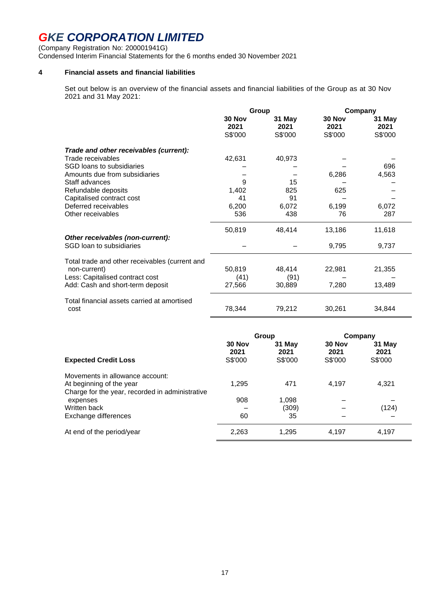(Company Registration No: 200001941G) Condensed Interim Financial Statements for the 6 months ended 30 November 2021

#### **4 Financial assets and financial liabilities**

Set out below is an overview of the financial assets and financial liabilities of the Group as at 30 Nov 2021 and 31 May 2021:

|                                                              | Group                     |                           | Company                   |                           |
|--------------------------------------------------------------|---------------------------|---------------------------|---------------------------|---------------------------|
|                                                              | 30 Nov<br>2021<br>S\$'000 | 31 May<br>2021<br>S\$'000 | 30 Nov<br>2021<br>S\$'000 | 31 May<br>2021<br>S\$'000 |
| Trade and other receivables (current):                       |                           |                           |                           |                           |
| Trade receivables                                            | 42,631                    | 40,973                    |                           |                           |
| SGD loans to subsidiaries                                    |                           |                           |                           | 696                       |
| Amounts due from subsidiaries                                |                           |                           | 6,286                     | 4,563                     |
| Staff advances                                               | 9                         | 15                        |                           |                           |
| Refundable deposits                                          | 1,402                     | 825                       | 625                       |                           |
| Capitalised contract cost                                    | 41                        | 91                        |                           |                           |
| Deferred receivables                                         | 6,200                     | 6,072                     | 6,199                     | 6,072                     |
| Other receivables                                            | 536                       | 438                       | 76                        | 287                       |
|                                                              | 50,819                    | 48,414                    | 13,186                    | 11,618                    |
| Other receivables (non-current):<br>SGD loan to subsidiaries |                           |                           | 9,795                     | 9,737                     |
| Total trade and other receivables (current and               |                           |                           |                           |                           |
| non-current)                                                 | 50,819                    | 48,414                    | 22,981                    | 21,355                    |
| Less: Capitalised contract cost                              | (41)                      | (91)                      |                           |                           |
| Add: Cash and short-term deposit                             | 27,566                    | 30,889                    | 7,280                     | 13,489                    |
| Total financial assets carried at amortised<br>cost          | 78,344                    | 79,212                    | 30,261                    | 34,844                    |
|                                                              |                           |                           |                           |                           |

|                                                                                                                | Group                     |                           | Company                   |                           |
|----------------------------------------------------------------------------------------------------------------|---------------------------|---------------------------|---------------------------|---------------------------|
| <b>Expected Credit Loss</b>                                                                                    | 30 Nov<br>2021<br>S\$'000 | 31 May<br>2021<br>S\$'000 | 30 Nov<br>2021<br>S\$'000 | 31 May<br>2021<br>S\$'000 |
| Movements in allowance account:<br>At beginning of the year<br>Charge for the year, recorded in administrative | 1,295                     | 471                       | 4.197                     | 4,321                     |
| expenses                                                                                                       | 908                       | 1.098                     |                           |                           |
| Written back                                                                                                   |                           | (309)                     |                           | (124)                     |
| Exchange differences                                                                                           | 60                        | 35                        |                           |                           |
| At end of the period/year                                                                                      | 2,263                     | 1.295                     | 4,197                     | 4,197                     |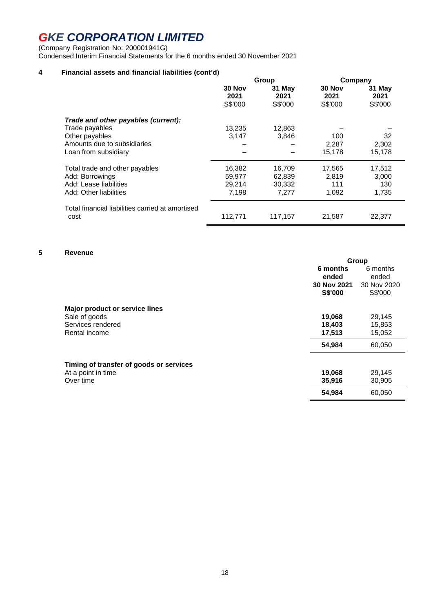(Company Registration No: 200001941G)

Condensed Interim Financial Statements for the 6 months ended 30 November 2021

### **4 Financial assets and financial liabilities (cont'd)**

|                                                                                                                                | Group                               |                                     | Company                         |                                 |
|--------------------------------------------------------------------------------------------------------------------------------|-------------------------------------|-------------------------------------|---------------------------------|---------------------------------|
|                                                                                                                                | 30 Nov<br>2021<br>S\$'000           | 31 May<br>2021<br>S\$'000           | 30 Nov<br>2021<br>S\$'000       | 31 May<br>2021<br>S\$'000       |
| Trade and other payables (current):<br>Trade payables<br>Other payables<br>Amounts due to subsidiaries<br>Loan from subsidiary | 13,235<br>3,147                     | 12,863<br>3,846                     | 100<br>2,287<br>15,178          | 32<br>2,302<br>15,178           |
| Total trade and other payables<br>Add: Borrowings<br>Add: Lease liabilities<br>Add: Other liabilities                          | 16,382<br>59,977<br>29.214<br>7,198 | 16,709<br>62,839<br>30,332<br>7,277 | 17,565<br>2.819<br>111<br>1,092 | 17,512<br>3,000<br>130<br>1,735 |
| Total financial liabilities carried at amortised<br>cost                                                                       | 112,771                             | 117,157                             | 21,587                          | 22,377                          |

### **5 Revenue**

|                                         | Group       |             |
|-----------------------------------------|-------------|-------------|
|                                         | 6 months    | 6 months    |
|                                         | ended       | ended       |
|                                         | 30 Nov 2021 | 30 Nov 2020 |
|                                         | S\$'000     | S\$'000     |
| Major product or service lines          |             |             |
| Sale of goods                           | 19,068      | 29,145      |
| Services rendered                       | 18,403      | 15,853      |
| Rental income                           | 17,513      | 15,052      |
|                                         | 54,984      | 60,050      |
| Timing of transfer of goods or services |             |             |
| At a point in time                      | 19,068      | 29,145      |
| Over time                               | 35,916      | 30,905      |
|                                         | 54,984      | 60,050      |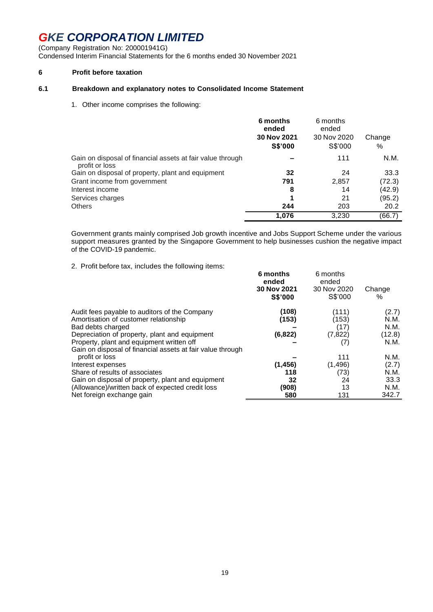(Company Registration No: 200001941G) Condensed Interim Financial Statements for the 6 months ended 30 November 2021

#### **6 Profit before taxation**

#### **6.1 Breakdown and explanatory notes to Consolidated Income Statement**

1. Other income comprises the following:

|                                                                              | 6 months<br>ended<br>30 Nov 2021<br><b>S\$'000</b> | 6 months<br>ended<br>30 Nov 2020<br>S\$'000 | Change<br>% |
|------------------------------------------------------------------------------|----------------------------------------------------|---------------------------------------------|-------------|
| Gain on disposal of financial assets at fair value through<br>profit or loss |                                                    | 111                                         | N.M.        |
| Gain on disposal of property, plant and equipment                            | 32                                                 | 24                                          | 33.3        |
| Grant income from government                                                 | 791                                                | 2,857                                       | (72.3)      |
| Interest income                                                              | 8                                                  | 14                                          | (42.9)      |
| Services charges                                                             | 1                                                  | 21                                          | (95.2)      |
| <b>Others</b>                                                                | 244                                                | 203                                         | 20.2        |
|                                                                              | 1.076                                              | 3.230                                       | (66.7)      |

Government grants mainly comprised Job growth incentive and Jobs Support Scheme under the various support measures granted by the Singapore Government to help businesses cushion the negative impact of the COVID-19 pandemic.

2. Profit before tax, includes the following items:

| E. Thom boloro tax, increased the renowing items.          | 6 months<br>ended<br>30 Nov 2021<br><b>S\$'000</b> | 6 months<br>ended<br>30 Nov 2020<br>S\$'000 | Change<br>$\%$ |
|------------------------------------------------------------|----------------------------------------------------|---------------------------------------------|----------------|
| Audit fees payable to auditors of the Company              | (108)                                              | (111)                                       | (2.7)          |
| Amortisation of customer relationship                      | (153)                                              | (153)                                       | N.M.           |
| Bad debts charged                                          |                                                    | (17)                                        | N.M.           |
| Depreciation of property, plant and equipment              | (6, 822)                                           | (7, 822)                                    | (12.8)         |
| Property, plant and equipment written off                  |                                                    | (7)                                         | N.M.           |
| Gain on disposal of financial assets at fair value through |                                                    |                                             |                |
| profit or loss                                             |                                                    | 111                                         | N.M.           |
| Interest expenses                                          | (1, 456)                                           | (1, 496)                                    | (2.7)          |
| Share of results of associates                             | 118                                                | (73)                                        | N.M.           |
| Gain on disposal of property, plant and equipment          | 32                                                 | 24                                          | 33.3           |
| (Allowance)/written back of expected credit loss           | (908)                                              | 13                                          | N.M.           |
| Net foreign exchange gain                                  | 580                                                | 131                                         | 342.7          |
|                                                            |                                                    |                                             |                |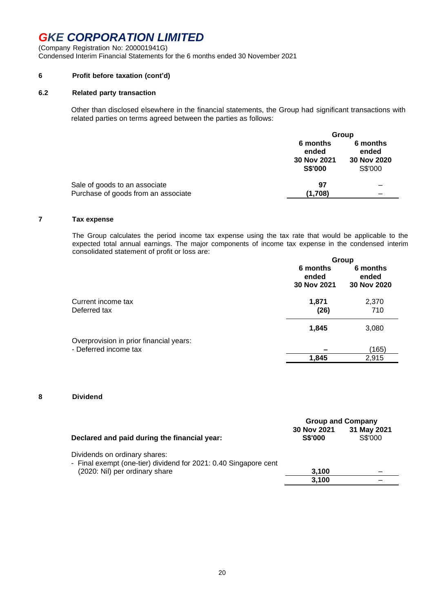(Company Registration No: 200001941G) Condensed Interim Financial Statements for the 6 months ended 30 November 2021

#### **6 Profit before taxation (cont'd)**

#### **6.2 Related party transaction**

Other than disclosed elsewhere in the financial statements, the Group had significant transactions with related parties on terms agreed between the parties as follows:

|                                     | Group                                              |                                             |  |
|-------------------------------------|----------------------------------------------------|---------------------------------------------|--|
|                                     | 6 months<br>ended<br>30 Nov 2021<br><b>S\$'000</b> | 6 months<br>ended<br>30 Nov 2020<br>S\$'000 |  |
| Sale of goods to an associate       | 97                                                 |                                             |  |
| Purchase of goods from an associate | (1.708)                                            |                                             |  |

#### **7 Tax expense**

The Group calculates the period income tax expense using the tax rate that would be applicable to the expected total annual earnings. The major components of income tax expense in the condensed interim consolidated statement of profit or loss are:

|                                         | Group                            |                                  |  |
|-----------------------------------------|----------------------------------|----------------------------------|--|
|                                         | 6 months<br>ended<br>30 Nov 2021 | 6 months<br>ended<br>30 Nov 2020 |  |
| Current income tax<br>Deferred tax      | 1,871<br>(26)                    | 2,370<br>710                     |  |
|                                         | 1,845                            | 3,080                            |  |
| Overprovision in prior financial years: |                                  |                                  |  |
| - Deferred income tax                   |                                  | (165)                            |  |
|                                         | 1,845                            | 2,915                            |  |
|                                         |                                  |                                  |  |

#### **8 Dividend**

|                                                                                                   | <b>Group and Company</b>      |                        |  |
|---------------------------------------------------------------------------------------------------|-------------------------------|------------------------|--|
| Declared and paid during the financial year:                                                      | 30 Nov 2021<br><b>S\$'000</b> | 31 May 2021<br>S\$'000 |  |
| Dividends on ordinary shares:<br>- Final exempt (one-tier) dividend for 2021: 0.40 Singapore cent |                               |                        |  |
| (2020: Nil) per ordinary share                                                                    | 3,100                         |                        |  |
|                                                                                                   | 3.100                         |                        |  |
|                                                                                                   |                               |                        |  |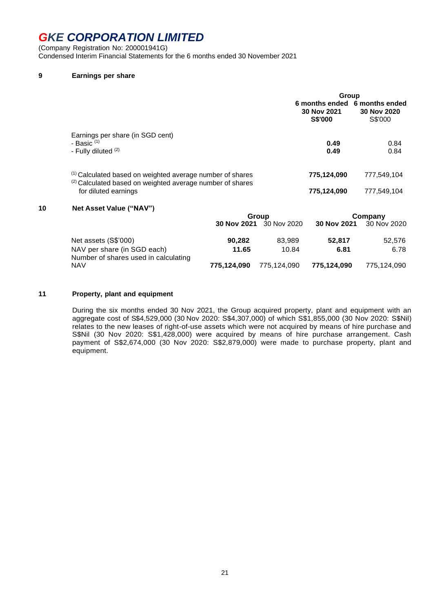(Company Registration No: 200001941G) Condensed Interim Financial Statements for the 6 months ended 30 November 2021

#### **9 Earnings per share**

|                                                                                                                                   | Group                                                          |                        |  |
|-----------------------------------------------------------------------------------------------------------------------------------|----------------------------------------------------------------|------------------------|--|
|                                                                                                                                   | 6 months ended 6 months ended<br>30 Nov 2021<br><b>S\$'000</b> | 30 Nov 2020<br>S\$'000 |  |
| Earnings per share (in SGD cent)<br>- Basic $(1)$<br>- Fully diluted (2)                                                          | 0.49<br>0.49                                                   | 0.84<br>0.84           |  |
| <sup>(1)</sup> Calculated based on weighted average number of shares<br>(2) Calculated based on weighted average number of shares | 775,124,090                                                    | 777,549,104            |  |
| for diluted earnings                                                                                                              | 775,124,090                                                    | 777,549,104            |  |

#### **10 Net Asset Value ("NAV")**

|                                                                     | Group       |                         |             | Company                 |
|---------------------------------------------------------------------|-------------|-------------------------|-------------|-------------------------|
|                                                                     |             | 30 Nov 2021 30 Nov 2020 |             | 30 Nov 2021 30 Nov 2020 |
| Net assets (S\$'000)                                                | 90,282      | 83.989                  | 52.817      | 52,576                  |
| NAV per share (in SGD each)<br>Number of shares used in calculating | 11.65       | 10.84                   | 6.81        | 6.78                    |
| <b>NAV</b>                                                          | 775,124,090 | 775.124.090             | 775.124.090 | 775.124.090             |

#### **11 Property, plant and equipment**

During the six months ended 30 Nov 2021, the Group acquired property, plant and equipment with an aggregate cost of S\$4,529,000 (30 Nov 2020: S\$4,307,000) of which S\$1,855,000 (30 Nov 2020: S\$Nil) relates to the new leases of right-of-use assets which were not acquired by means of hire purchase and S\$Nil (30 Nov 2020: S\$1,428,000) were acquired by means of hire purchase arrangement. Cash payment of S\$2,674,000 (30 Nov 2020: S\$2,879,000) were made to purchase property, plant and equipment.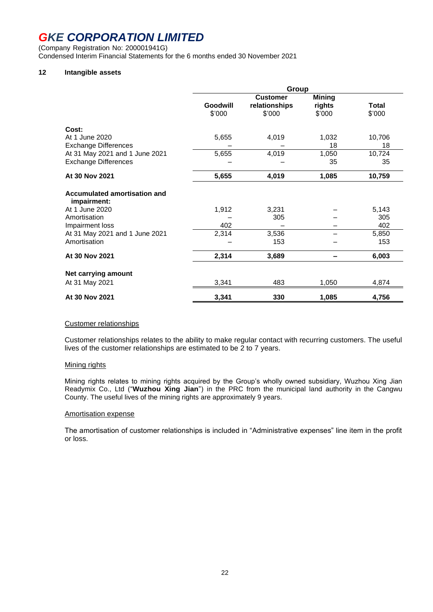(Company Registration No: 200001941G) Condensed Interim Financial Statements for the 6 months ended 30 November 2021

### **12 Intangible assets**

|                                                               | Group              |                                            |                                   |                        |
|---------------------------------------------------------------|--------------------|--------------------------------------------|-----------------------------------|------------------------|
|                                                               | Goodwill<br>\$'000 | <b>Customer</b><br>relationships<br>\$'000 | <b>Mining</b><br>rights<br>\$'000 | <b>Total</b><br>\$'000 |
| Cost:<br>At 1 June 2020                                       | 5,655              | 4,019                                      | 1,032                             | 10,706                 |
| <b>Exchange Differences</b><br>At 31 May 2021 and 1 June 2021 | 5,655              | 4,019                                      | 18<br>1,050                       | 18<br>10,724           |
| <b>Exchange Differences</b>                                   |                    |                                            | 35                                | 35                     |
| At 30 Nov 2021                                                | 5,655              | 4,019                                      | 1,085                             | 10,759                 |
| Accumulated amortisation and<br>impairment:                   |                    |                                            |                                   |                        |
| At 1 June 2020<br>Amortisation                                | 1,912              | 3,231<br>305                               |                                   | 5,143<br>305           |
| Impairment loss                                               | 402                |                                            |                                   | 402                    |
| At 31 May 2021 and 1 June 2021<br>Amortisation                | 2,314              | 3,536<br>153                               |                                   | 5,850<br>153           |
| At 30 Nov 2021                                                | 2,314              | 3,689                                      |                                   | 6,003                  |
| Net carrying amount                                           |                    |                                            |                                   |                        |
| At 31 May 2021                                                | 3,341              | 483                                        | 1,050                             | 4,874                  |
| At 30 Nov 2021                                                | 3,341              | 330                                        | 1,085                             | 4,756                  |

#### Customer relationships

Customer relationships relates to the ability to make regular contact with recurring customers. The useful lives of the customer relationships are estimated to be 2 to 7 years.

#### Mining rights

Mining rights relates to mining rights acquired by the Group's wholly owned subsidiary, Wuzhou Xing Jian Readymix Co., Ltd ("**Wuzhou Xing Jian**") in the PRC from the municipal land authority in the Cangwu County. The useful lives of the mining rights are approximately 9 years.

#### Amortisation expense

The amortisation of customer relationships is included in "Administrative expenses" line item in the profit or loss.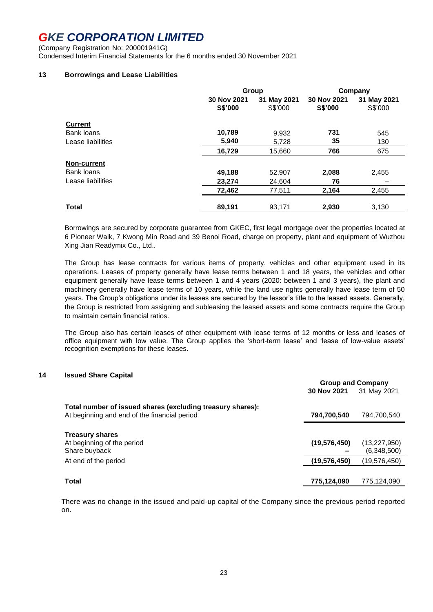(Company Registration No: 200001941G) Condensed Interim Financial Statements for the 6 months ended 30 November 2021

#### **13 Borrowings and Lease Liabilities**

|                    | Group                  |                        | Company                       |                        |
|--------------------|------------------------|------------------------|-------------------------------|------------------------|
|                    | 30 Nov 2021<br>S\$'000 | 31 May 2021<br>S\$'000 | 30 Nov 2021<br><b>S\$'000</b> | 31 May 2021<br>S\$'000 |
| <b>Current</b>     |                        |                        |                               |                        |
| Bank loans         | 10,789                 | 9,932                  | 731                           | 545                    |
| Lease liabilities  | 5,940                  | 5,728                  | 35                            | 130                    |
|                    | 16,729                 | 15,660                 | 766                           | 675                    |
| <b>Non-current</b> |                        |                        |                               |                        |
| Bank loans         | 49,188                 | 52,907                 | 2,088                         | 2,455                  |
| Lease liabilities  | 23,274                 | 24,604                 | 76                            |                        |
|                    | 72,462                 | 77,511                 | 2,164                         | 2,455                  |
| <b>Total</b>       | 89.191                 | 93.171                 | 2.930                         | 3.130                  |

Borrowings are secured by corporate guarantee from GKEC, first legal mortgage over the properties located at 6 Pioneer Walk, 7 Kwong Min Road and 39 Benoi Road, charge on property, plant and equipment of Wuzhou Xing Jian Readymix Co., Ltd..

The Group has lease contracts for various items of property, vehicles and other equipment used in its operations. Leases of property generally have lease terms between 1 and 18 years, the vehicles and other equipment generally have lease terms between 1 and 4 years (2020: between 1 and 3 years), the plant and machinery generally have lease terms of 10 years, while the land use rights generally have lease term of 50 years. The Group's obligations under its leases are secured by the lessor's title to the leased assets. Generally, the Group is restricted from assigning and subleasing the leased assets and some contracts require the Group to maintain certain financial ratios.

The Group also has certain leases of other equipment with lease terms of 12 months or less and leases of office equipment with low value. The Group applies the 'short-term lease' and 'lease of low-value assets' recognition exemptions for these leases.

#### **14 Issued Share Capital**

|                                                                                                            | <b>Group and Company</b> |                               |
|------------------------------------------------------------------------------------------------------------|--------------------------|-------------------------------|
|                                                                                                            | 30 Nov 2021              | 31 May 2021                   |
| Total number of issued shares (excluding treasury shares):<br>At beginning and end of the financial period | 794,700,540              | 794,700,540                   |
| <b>Treasury shares</b><br>At beginning of the period<br>Share buyback                                      | (19, 576, 450)           | (13, 227, 950)<br>(6,348,500) |
| At end of the period                                                                                       | (19, 576, 450)           | (19.576.450)                  |
| Total                                                                                                      | 775,124,090              | 775,124,090                   |

There was no change in the issued and paid-up capital of the Company since the previous period reported on.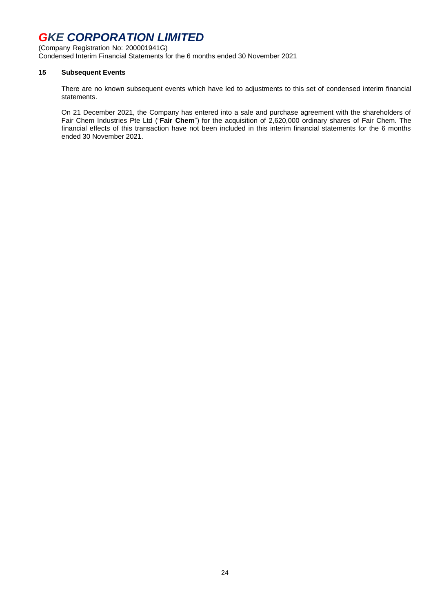(Company Registration No: 200001941G) Condensed Interim Financial Statements for the 6 months ended 30 November 2021

#### **15 Subsequent Events**

There are no known subsequent events which have led to adjustments to this set of condensed interim financial statements.

On 21 December 2021, the Company has entered into a sale and purchase agreement with the shareholders of Fair Chem Industries Pte Ltd ("**Fair Chem**") for the acquisition of 2,620,000 ordinary shares of Fair Chem. The financial effects of this transaction have not been included in this interim financial statements for the 6 months ended 30 November 2021.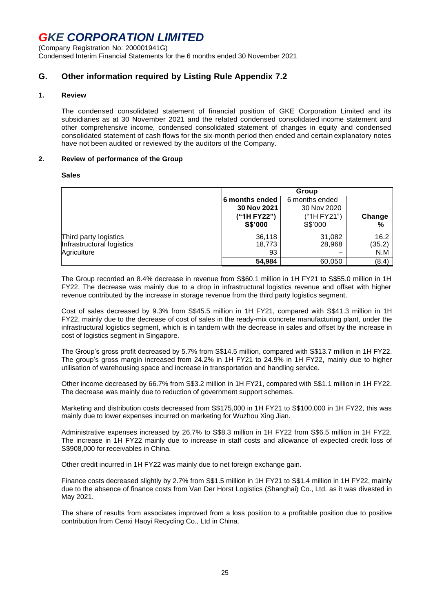(Company Registration No: 200001941G) Condensed Interim Financial Statements for the 6 months ended 30 November 2021

### **G. Other information required by Listing Rule Appendix 7.2**

#### **1. Review**

The condensed consolidated statement of financial position of GKE Corporation Limited and its subsidiaries as at 30 November 2021 and the related condensed consolidated income statement and other comprehensive income, condensed consolidated statement of changes in equity and condensed consolidated statement of cash flows for the six-month period then ended and certain explanatory notes have not been audited or reviewed by the auditors of the Company.

#### **2. Review of performance of the Group**

#### **Sales**

|                           | Group                            |             |        |
|---------------------------|----------------------------------|-------------|--------|
|                           | 6 months ended<br>6 months ended |             |        |
|                           | 30 Nov 2021                      | 30 Nov 2020 |        |
|                           | ("1H FY22")                      | ("1H FY21") | Change |
|                           | <b>S\$'000</b>                   | S\$'000     | %      |
| Third party logistics     | 36,118                           | 31,082      | 16.2   |
| Infrastructural logistics | 18,773                           | 28,968      | (35.2) |
| Agriculture               | 93                               |             | N.M    |
|                           | 54,984                           | 60,050      | (8.4)  |

The Group recorded an 8.4% decrease in revenue from S\$60.1 million in 1H FY21 to S\$55.0 million in 1H FY22. The decrease was mainly due to a drop in infrastructural logistics revenue and offset with higher revenue contributed by the increase in storage revenue from the third party logistics segment.

Cost of sales decreased by 9.3% from S\$45.5 million in 1H FY21, compared with S\$41.3 million in 1H FY22, mainly due to the decrease of cost of sales in the ready-mix concrete manufacturing plant, under the infrastructural logistics segment, which is in tandem with the decrease in sales and offset by the increase in cost of logistics segment in Singapore.

The Group's gross profit decreased by 5.7% from S\$14.5 million, compared with S\$13.7 million in 1H FY22. The group's gross margin increased from 24.2% in 1H FY21 to 24.9% in 1H FY22, mainly due to higher utilisation of warehousing space and increase in transportation and handling service.

Other income decreased by 66.7% from S\$3.2 million in 1H FY21, compared with S\$1.1 million in 1H FY22. The decrease was mainly due to reduction of government support schemes.

Marketing and distribution costs decreased from S\$175,000 in 1H FY21 to S\$100,000 in 1H FY22, this was mainly due to lower expenses incurred on marketing for Wuzhou Xing Jian.

Administrative expenses increased by 26.7% to S\$8.3 million in 1H FY22 from S\$6.5 million in 1H FY22. The increase in 1H FY22 mainly due to increase in staff costs and allowance of expected credit loss of S\$908,000 for receivables in China.

Other credit incurred in 1H FY22 was mainly due to net foreign exchange gain.

Finance costs decreased slightly by 2.7% from S\$1.5 million in 1H FY21 to S\$1.4 million in 1H FY22, mainly due to the absence of finance costs from Van Der Horst Logistics (Shanghai) Co., Ltd. as it was divested in May 2021.

The share of results from associates improved from a loss position to a profitable position due to positive contribution from Cenxi Haoyi Recycling Co., Ltd in China.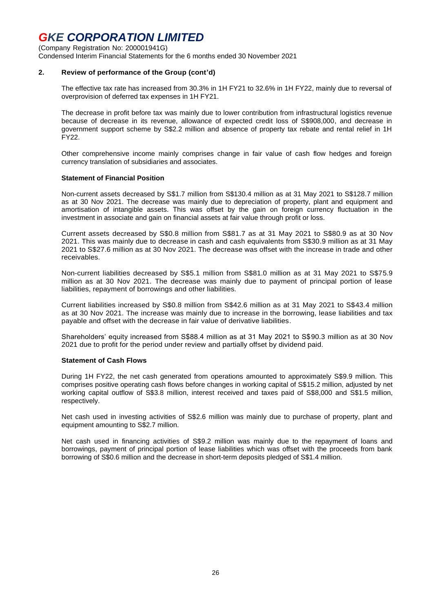(Company Registration No: 200001941G)

Condensed Interim Financial Statements for the 6 months ended 30 November 2021

#### **2. Review of performance of the Group (cont'd)**

The effective tax rate has increased from 30.3% in 1H FY21 to 32.6% in 1H FY22, mainly due to reversal of overprovision of deferred tax expenses in 1H FY21.

The decrease in profit before tax was mainly due to lower contribution from infrastructural logistics revenue because of decrease in its revenue, allowance of expected credit loss of S\$908,000, and decrease in government support scheme by S\$2.2 million and absence of property tax rebate and rental relief in 1H FY22.

Other comprehensive income mainly comprises change in fair value of cash flow hedges and foreign currency translation of subsidiaries and associates.

#### **Statement of Financial Position**

Non-current assets decreased by S\$1.7 million from S\$130.4 million as at 31 May 2021 to S\$128.7 million as at 30 Nov 2021. The decrease was mainly due to depreciation of property, plant and equipment and amortisation of intangible assets. This was offset by the gain on foreign currency fluctuation in the investment in associate and gain on financial assets at fair value through profit or loss.

Current assets decreased by S\$0.8 million from S\$81.7 as at 31 May 2021 to S\$80.9 as at 30 Nov 2021. This was mainly due to decrease in cash and cash equivalents from S\$30.9 million as at 31 May 2021 to S\$27.6 million as at 30 Nov 2021. The decrease was offset with the increase in trade and other receivables.

Non-current liabilities decreased by S\$5.1 million from S\$81.0 million as at 31 May 2021 to S\$75.9 million as at 30 Nov 2021. The decrease was mainly due to payment of principal portion of lease liabilities, repayment of borrowings and other liabilities.

Current liabilities increased by S\$0.8 million from S\$42.6 million as at 31 May 2021 to S\$43.4 million as at 30 Nov 2021. The increase was mainly due to increase in the borrowing, lease liabilities and tax payable and offset with the decrease in fair value of derivative liabilities.

Shareholders' equity increased from S\$88.4 million as at 31 May 2021 to S\$90.3 million as at 30 Nov 2021 due to profit for the period under review and partially offset by dividend paid.

#### **Statement of Cash Flows**

During 1H FY22, the net cash generated from operations amounted to approximately S\$9.9 million. This comprises positive operating cash flows before changes in working capital of S\$15.2 million, adjusted by net working capital outflow of S\$3.8 million, interest received and taxes paid of S\$8,000 and S\$1.5 million, respectively.

Net cash used in investing activities of S\$2.6 million was mainly due to purchase of property, plant and equipment amounting to S\$2.7 million.

Net cash used in financing activities of S\$9.2 million was mainly due to the repayment of loans and borrowings, payment of principal portion of lease liabilities which was offset with the proceeds from bank borrowing of S\$0.6 million and the decrease in short-term deposits pledged of S\$1.4 million.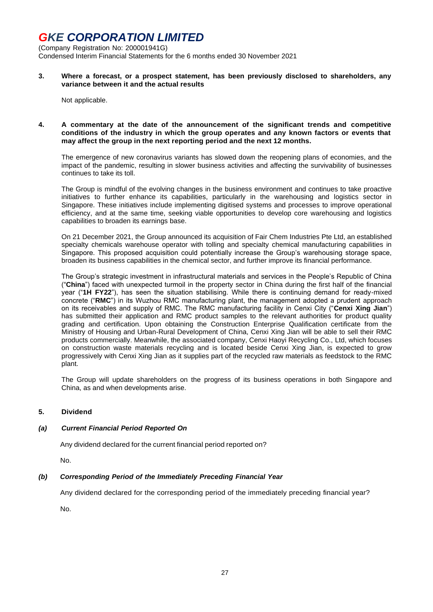(Company Registration No: 200001941G)

Condensed Interim Financial Statements for the 6 months ended 30 November 2021

**3. Where a forecast, or a prospect statement, has been previously disclosed to shareholders, any variance between it and the actual results**

Not applicable.

#### **4. A commentary at the date of the announcement of the significant trends and competitive conditions of the industry in which the group operates and any known factors or events that may affect the group in the next reporting period and the next 12 months.**

The emergence of new coronavirus variants has slowed down the reopening plans of economies, and the impact of the pandemic, resulting in slower business activities and affecting the survivability of businesses continues to take its toll.

The Group is mindful of the evolving changes in the business environment and continues to take proactive initiatives to further enhance its capabilities, particularly in the warehousing and logistics sector in Singapore. These initiatives include implementing digitised systems and processes to improve operational efficiency, and at the same time, seeking viable opportunities to develop core warehousing and logistics capabilities to broaden its earnings base.

On 21 December 2021, the Group announced its acquisition of Fair Chem Industries Pte Ltd, an established specialty chemicals warehouse operator with tolling and specialty chemical manufacturing capabilities in Singapore. This proposed acquisition could potentially increase the Group's warehousing storage space, broaden its business capabilities in the chemical sector, and further improve its financial performance.

The Group's strategic investment in infrastructural materials and services in the People's Republic of China ("**China**") faced with unexpected turmoil in the property sector in China during the first half of the financial year ("**1H FY22**"), has seen the situation stabilising. While there is continuing demand for ready-mixed concrete ("**RMC**") in its Wuzhou RMC manufacturing plant, the management adopted a prudent approach on its receivables and supply of RMC. The RMC manufacturing facility in Cenxi City ("**Cenxi Xing Jian**") has submitted their application and RMC product samples to the relevant authorities for product quality grading and certification. Upon obtaining the Construction Enterprise Qualification certificate from the Ministry of Housing and Urban-Rural Development of China, Cenxi Xing Jian will be able to sell their RMC products commercially. Meanwhile, the associated company, Cenxi Haoyi Recycling Co., Ltd, which focuses on construction waste materials recycling and is located beside Cenxi Xing Jian, is expected to grow progressively with Cenxi Xing Jian as it supplies part of the recycled raw materials as feedstock to the RMC plant.

The Group will update shareholders on the progress of its business operations in both Singapore and China, as and when developments arise.

#### **5. Dividend**

#### *(a) Current Financial Period Reported On*

Any dividend declared for the current financial period reported on?

No.

#### *(b) Corresponding Period of the Immediately Preceding Financial Year*

Any dividend declared for the corresponding period of the immediately preceding financial year?

No.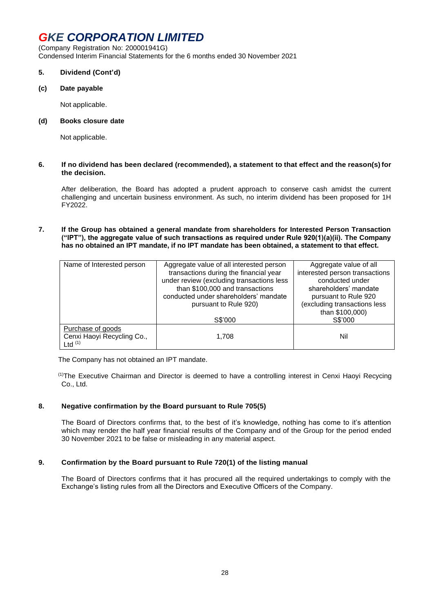(Company Registration No: 200001941G) Condensed Interim Financial Statements for the 6 months ended 30 November 2021

#### **5. Dividend (Cont'd)**

**(c) Date payable**

Not applicable.

#### **(d) Books closure date**

Not applicable.

#### **6. If no dividend has been declared (recommended), a statement to that effect and the reason(s) for the decision.**

After deliberation, the Board has adopted a prudent approach to conserve cash amidst the current challenging and uncertain business environment. As such, no interim dividend has been proposed for 1H FY2022.

**7. If the Group has obtained a general mandate from shareholders for Interested Person Transaction ("IPT"), the aggregate value of such transactions as required under Rule 920(1)(a)(ii). The Company has no obtained an IPT mandate, if no IPT mandate has been obtained, a statement to that effect.** 

| Name of Interested person  | Aggregate value of all interested person  | Aggregate value of all         |  |  |
|----------------------------|-------------------------------------------|--------------------------------|--|--|
|                            | transactions during the financial year    | interested person transactions |  |  |
|                            | under review (excluding transactions less | conducted under                |  |  |
|                            | than \$100,000 and transactions           | shareholders' mandate          |  |  |
|                            | conducted under shareholders' mandate     | pursuant to Rule 920           |  |  |
|                            | pursuant to Rule 920)                     | (excluding transactions less   |  |  |
|                            |                                           | than \$100,000)                |  |  |
|                            | S\$'000                                   | S\$'000                        |  |  |
| Purchase of goods          |                                           |                                |  |  |
| Cenxi Haoyi Recycling Co., | 1,708                                     | Nil                            |  |  |
| Ltd $(1)$                  |                                           |                                |  |  |

The Company has not obtained an IPT mandate.

(1)The Executive Chairman and Director is deemed to have a controlling interest in Cenxi Haoyi Recycing Co., Ltd.

#### **8. Negative confirmation by the Board pursuant to Rule 705(5)**

The Board of Directors confirms that, to the best of it's knowledge, nothing has come to it's attention which may render the half year financial results of the Company and of the Group for the period ended 30 November 2021 to be false or misleading in any material aspect.

#### **9. Confirmation by the Board pursuant to Rule 720(1) of the listing manual**

The Board of Directors confirms that it has procured all the required undertakings to comply with the Exchange's listing rules from all the Directors and Executive Officers of the Company.